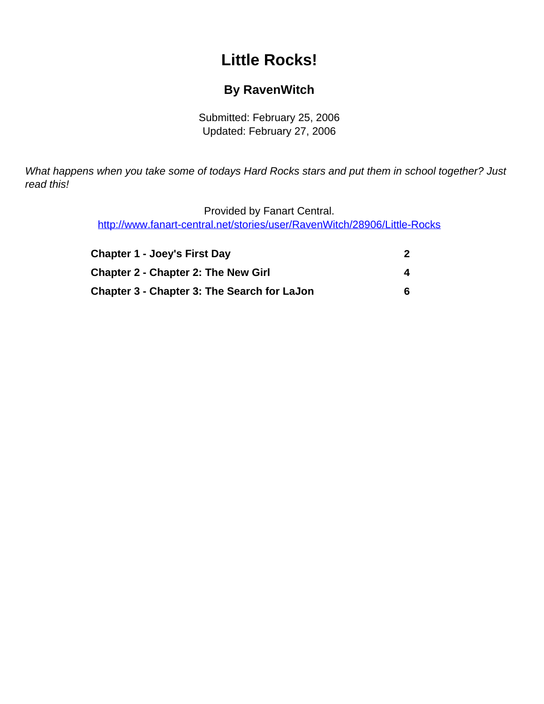# **Little Rocks!**

## **By RavenWitch**

Submitted: February 25, 2006 Updated: February 27, 2006

<span id="page-0-0"></span>What happens when you take some of todays Hard Rocks stars and put them in school together? Just read this!

> Provided by Fanart Central. [http://www.fanart-central.net/stories/user/RavenWitch/28906/Little-Rocks](#page-0-0)

| <b>Chapter 1 - Joey's First Day</b>                |   |
|----------------------------------------------------|---|
| <b>Chapter 2 - Chapter 2: The New Girl</b>         | 4 |
| <b>Chapter 3 - Chapter 3: The Search for LaJon</b> | h |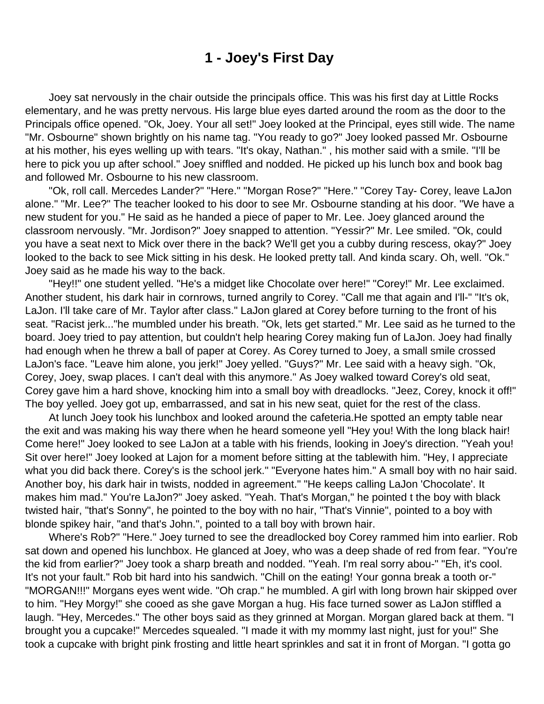### **1 - Joey's First Day**

<span id="page-1-0"></span> Joey sat nervously in the chair outside the principals office. This was his first day at Little Rocks elementary, and he was pretty nervous. His large blue eyes darted around the room as the door to the Principals office opened. "Ok, Joey. Your all set!" Joey looked at the Principal, eyes still wide. The name "Mr. Osbourne" shown brightly on his name tag. "You ready to go?" Joey looked passed Mr. Osbourne at his mother, his eyes welling up with tears. "It's okay, Nathan." , his mother said with a smile. "I'll be here to pick you up after school." Joey sniffled and nodded. He picked up his lunch box and book bag and followed Mr. Osbourne to his new classroom.

 "Ok, roll call. Mercedes Lander?" "Here." "Morgan Rose?" "Here." "Corey Tay- Corey, leave LaJon alone." "Mr. Lee?" The teacher looked to his door to see Mr. Osbourne standing at his door. "We have a new student for you." He said as he handed a piece of paper to Mr. Lee. Joey glanced around the classroom nervously. "Mr. Jordison?" Joey snapped to attention. "Yessir?" Mr. Lee smiled. "Ok, could you have a seat next to Mick over there in the back? We'll get you a cubby during rescess, okay?" Joey looked to the back to see Mick sitting in his desk. He looked pretty tall. And kinda scary. Oh, well. "Ok." Joey said as he made his way to the back.

 "Hey!!" one student yelled. "He's a midget like Chocolate over here!" "Corey!" Mr. Lee exclaimed. Another student, his dark hair in cornrows, turned angrily to Corey. "Call me that again and I'll-" "It's ok, LaJon. I'll take care of Mr. Taylor after class." LaJon glared at Corey before turning to the front of his seat. "Racist jerk..."he mumbled under his breath. "Ok, lets get started." Mr. Lee said as he turned to the board. Joey tried to pay attention, but couldn't help hearing Corey making fun of LaJon. Joey had finally had enough when he threw a ball of paper at Corey. As Corey turned to Joey, a small smile crossed LaJon's face. "Leave him alone, you jerk!" Joey yelled. "Guys?" Mr. Lee said with a heavy sigh. "Ok, Corey, Joey, swap places. I can't deal with this anymore." As Joey walked toward Corey's old seat, Corey gave him a hard shove, knocking him into a small boy with dreadlocks. "Jeez, Corey, knock it off!" The boy yelled. Joey got up, embarrassed, and sat in his new seat, quiet for the rest of the class.

 At lunch Joey took his lunchbox and looked around the cafeteria.He spotted an empty table near the exit and was making his way there when he heard someone yell "Hey you! With the long black hair! Come here!" Joey looked to see LaJon at a table with his friends, looking in Joey's direction. "Yeah you! Sit over here!" Joey looked at Lajon for a moment before sitting at the tablewith him. "Hey, I appreciate what you did back there. Corey's is the school jerk." "Everyone hates him." A small boy with no hair said. Another boy, his dark hair in twists, nodded in agreement." "He keeps calling LaJon 'Chocolate'. It makes him mad." You're LaJon?" Joey asked. "Yeah. That's Morgan," he pointed t the boy with black twisted hair, "that's Sonny", he pointed to the boy with no hair, "That's Vinnie", pointed to a boy with blonde spikey hair, "and that's John.", pointed to a tall boy with brown hair.

 Where's Rob?" "Here." Joey turned to see the dreadlocked boy Corey rammed him into earlier. Rob sat down and opened his lunchbox. He glanced at Joey, who was a deep shade of red from fear. "You're the kid from earlier?" Joey took a sharp breath and nodded. "Yeah. I'm real sorry abou-" "Eh, it's cool. It's not your fault." Rob bit hard into his sandwich. "Chill on the eating! Your gonna break a tooth or-" "MORGAN!!!" Morgans eyes went wide. "Oh crap." he mumbled. A girl with long brown hair skipped over to him. "Hey Morgy!" she cooed as she gave Morgan a hug. His face turned sower as LaJon stiffled a laugh. "Hey, Mercedes." The other boys said as they grinned at Morgan. Morgan glared back at them. "I brought you a cupcake!" Mercedes squealed. "I made it with my mommy last night, just for you!" She took a cupcake with bright pink frosting and little heart sprinkles and sat it in front of Morgan. "I gotta go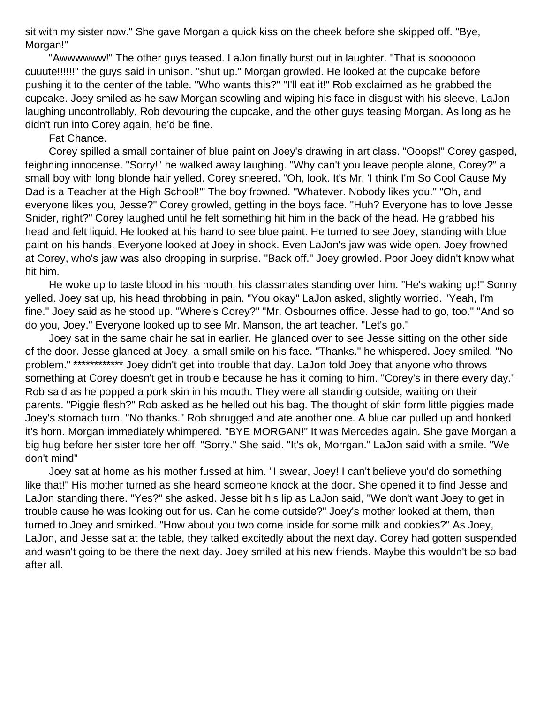sit with my sister now." She gave Morgan a quick kiss on the cheek before she skipped off. "Bye, Morgan!"

 "Awwwwww!" The other guys teased. LaJon finally burst out in laughter. "That is sooooooo cuuute!!!!!!" the guys said in unison. "shut up." Morgan growled. He looked at the cupcake before pushing it to the center of the table. "Who wants this?" "I'll eat it!" Rob exclaimed as he grabbed the cupcake. Joey smiled as he saw Morgan scowling and wiping his face in disgust with his sleeve, LaJon laughing uncontrollably, Rob devouring the cupcake, and the other guys teasing Morgan. As long as he didn't run into Corey again, he'd be fine.

Fat Chance.

 Corey spilled a small container of blue paint on Joey's drawing in art class. "Ooops!" Corey gasped, feighning innocense. "Sorry!" he walked away laughing. "Why can't you leave people alone, Corey?" a small boy with long blonde hair yelled. Corey sneered. "Oh, look. It's Mr. 'I think I'm So Cool Cause My Dad is a Teacher at the High School!'" The boy frowned. "Whatever. Nobody likes you." "Oh, and everyone likes you, Jesse?" Corey growled, getting in the boys face. "Huh? Everyone has to love Jesse Snider, right?" Corey laughed until he felt something hit him in the back of the head. He grabbed his head and felt liquid. He looked at his hand to see blue paint. He turned to see Joey, standing with blue paint on his hands. Everyone looked at Joey in shock. Even LaJon's jaw was wide open. Joey frowned at Corey, who's jaw was also dropping in surprise. "Back off." Joey growled. Poor Joey didn't know what hit him.

 He woke up to taste blood in his mouth, his classmates standing over him. "He's waking up!" Sonny yelled. Joey sat up, his head throbbing in pain. "You okay" LaJon asked, slightly worried. "Yeah, I'm fine." Joey said as he stood up. "Where's Corey?" "Mr. Osbournes office. Jesse had to go, too." "And so do you, Joey." Everyone looked up to see Mr. Manson, the art teacher. "Let's go."

 Joey sat in the same chair he sat in earlier. He glanced over to see Jesse sitting on the other side of the door. Jesse glanced at Joey, a small smile on his face. "Thanks." he whispered. Joey smiled. "No problem." \*\*\*\*\*\*\*\*\*\*\*\* Joey didn't get into trouble that day. LaJon told Joey that anyone who throws something at Corey doesn't get in trouble because he has it coming to him. "Corey's in there every day." Rob said as he popped a pork skin in his mouth. They were all standing outside, waiting on their parents. "Piggie flesh?" Rob asked as he helled out his bag. The thought of skin form little piggies made Joey's stomach turn. "No thanks." Rob shrugged and ate another one. A blue car pulled up and honked it's horn. Morgan immediately whimpered. "BYE MORGAN!" It was Mercedes again. She gave Morgan a big hug before her sister tore her off. "Sorry." She said. "It's ok, Morrgan." LaJon said with a smile. "We don't mind"

 Joey sat at home as his mother fussed at him. "I swear, Joey! I can't believe you'd do something like that!" His mother turned as she heard someone knock at the door. She opened it to find Jesse and LaJon standing there. "Yes?" she asked. Jesse bit his lip as LaJon said, "We don't want Joey to get in trouble cause he was looking out for us. Can he come outside?" Joey's mother looked at them, then turned to Joey and smirked. "How about you two come inside for some milk and cookies?" As Joey, LaJon, and Jesse sat at the table, they talked excitedly about the next day. Corey had gotten suspended and wasn't going to be there the next day. Joey smiled at his new friends. Maybe this wouldn't be so bad after all.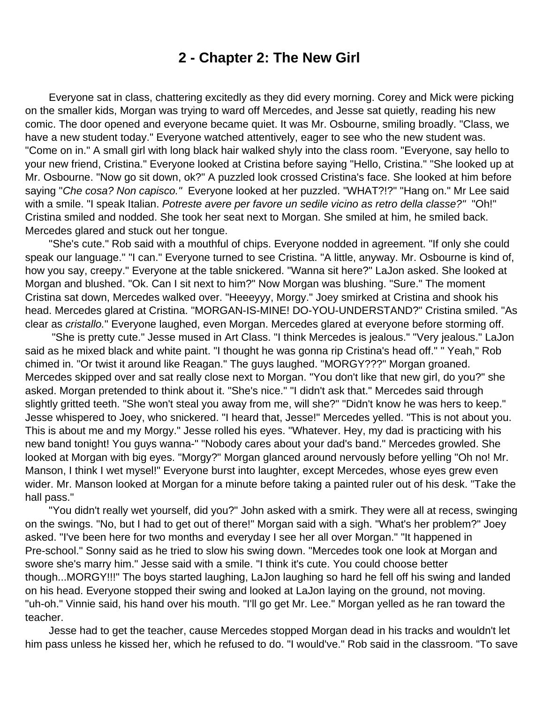#### **2 - Chapter 2: The New Girl**

<span id="page-3-0"></span> Everyone sat in class, chattering excitedly as they did every morning. Corey and Mick were picking on the smaller kids, Morgan was trying to ward off Mercedes, and Jesse sat quietly, reading his new comic. The door opened and everyone became quiet. It was Mr. Osbourne, smiling broadly. "Class, we have a new student today." Everyone watched attentively, eager to see who the new student was. "Come on in." A small girl with long black hair walked shyly into the class room. "Everyone, say hello to your new friend, Cristina." Everyone looked at Cristina before saying "Hello, Cristina." "She looked up at Mr. Osbourne. "Now go sit down, ok?" A puzzled look crossed Cristina's face. She looked at him before saying "Che cosa? Non capisco." Everyone looked at her puzzled. "WHAT?!?" "Hang on." Mr Lee said with a smile. "I speak Italian. Potreste avere per favore un sedile vicino as retro della classe?" "Oh!" Cristina smiled and nodded. She took her seat next to Morgan. She smiled at him, he smiled back. Mercedes glared and stuck out her tongue.

 "She's cute." Rob said with a mouthful of chips. Everyone nodded in agreement. "If only she could speak our language." "I can." Everyone turned to see Cristina. "A little, anyway. Mr. Osbourne is kind of, how you say, creepy." Everyone at the table snickered. "Wanna sit here?" LaJon asked. She looked at Morgan and blushed. "Ok. Can I sit next to him?" Now Morgan was blushing. "Sure." The moment Cristina sat down, Mercedes walked over. "Heeeyyy, Morgy." Joey smirked at Cristina and shook his head. Mercedes glared at Cristina. "MORGAN-IS-MINE! DO-YOU-UNDERSTAND?" Cristina smiled. "As clear as cristallo." Everyone laughed, even Morgan. Mercedes glared at everyone before storming off.

 "She is pretty cute." Jesse mused in Art Class. "I think Mercedes is jealous." "Very jealous." LaJon said as he mixed black and white paint. "I thought he was gonna rip Cristina's head off." " Yeah," Rob chimed in. "Or twist it around like Reagan." The guys laughed. "MORGY???" Morgan groaned. Mercedes skipped over and sat really close next to Morgan. "You don't like that new girl, do you?" she asked. Morgan pretended to think about it. "She's nice." "I didn't ask that." Mercedes said through slightly gritted teeth. "She won't steal you away from me, will she?" "Didn't know he was hers to keep." Jesse whispered to Joey, who snickered. "I heard that, Jesse!" Mercedes yelled. "This is not about you. This is about me and my Morgy." Jesse rolled his eyes. "Whatever. Hey, my dad is practicing with his new band tonight! You guys wanna-" "Nobody cares about your dad's band." Mercedes growled. She looked at Morgan with big eyes. "Morgy?" Morgan glanced around nervously before yelling "Oh no! Mr. Manson, I think I wet mysel!" Everyone burst into laughter, except Mercedes, whose eyes grew even wider. Mr. Manson looked at Morgan for a minute before taking a painted ruler out of his desk. "Take the hall pass."

 "You didn't really wet yourself, did you?" John asked with a smirk. They were all at recess, swinging on the swings. "No, but I had to get out of there!" Morgan said with a sigh. "What's her problem?" Joey asked. "I've been here for two months and everyday I see her all over Morgan." "It happened in Pre-school." Sonny said as he tried to slow his swing down. "Mercedes took one look at Morgan and swore she's marry him." Jesse said with a smile. "I think it's cute. You could choose better though...MORGY!!!" The boys started laughing, LaJon laughing so hard he fell off his swing and landed on his head. Everyone stopped their swing and looked at LaJon laying on the ground, not moving. "uh-oh." Vinnie said, his hand over his mouth. "I'll go get Mr. Lee." Morgan yelled as he ran toward the teacher.

 Jesse had to get the teacher, cause Mercedes stopped Morgan dead in his tracks and wouldn't let him pass unless he kissed her, which he refused to do. "I would've." Rob said in the classroom. "To save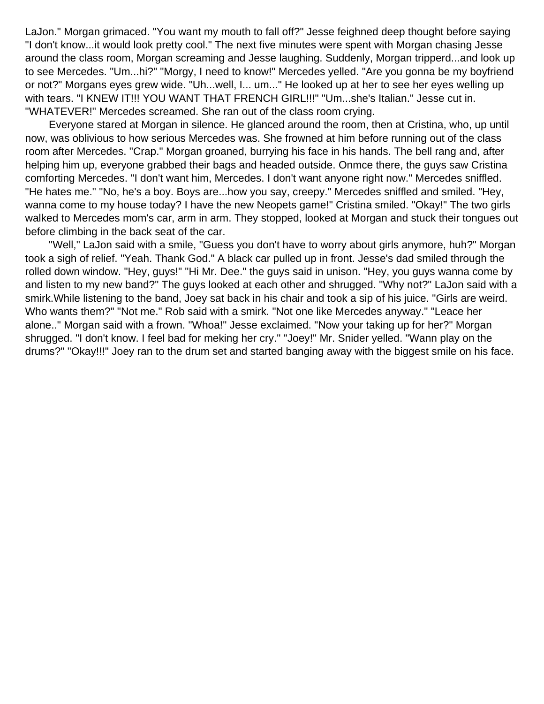LaJon." Morgan grimaced. "You want my mouth to fall off?" Jesse feighned deep thought before saying "I don't know...it would look pretty cool." The next five minutes were spent with Morgan chasing Jesse around the class room, Morgan screaming and Jesse laughing. Suddenly, Morgan tripperd...and look up to see Mercedes. "Um...hi?" "Morgy, I need to know!" Mercedes yelled. "Are you gonna be my boyfriend or not?" Morgans eyes grew wide. "Uh...well, I... um..." He looked up at her to see her eyes welling up with tears. "I KNEW IT!!! YOU WANT THAT FRENCH GIRL!!!" "Um...she's Italian." Jesse cut in. "WHATEVER!" Mercedes screamed. She ran out of the class room crying.

 Everyone stared at Morgan in silence. He glanced around the room, then at Cristina, who, up until now, was oblivious to how serious Mercedes was. She frowned at him before running out of the class room after Mercedes. "Crap." Morgan groaned, burrying his face in his hands. The bell rang and, after helping him up, everyone grabbed their bags and headed outside. Onmce there, the guys saw Cristina comforting Mercedes. "I don't want him, Mercedes. I don't want anyone right now." Mercedes sniffled. "He hates me." "No, he's a boy. Boys are...how you say, creepy." Mercedes sniffled and smiled. "Hey, wanna come to my house today? I have the new Neopets game!" Cristina smiled. "Okay!" The two girls walked to Mercedes mom's car, arm in arm. They stopped, looked at Morgan and stuck their tongues out before climbing in the back seat of the car.

 "Well," LaJon said with a smile, "Guess you don't have to worry about girls anymore, huh?" Morgan took a sigh of relief. "Yeah. Thank God." A black car pulled up in front. Jesse's dad smiled through the rolled down window. "Hey, guys!" "Hi Mr. Dee." the guys said in unison. "Hey, you guys wanna come by and listen to my new band?" The guys looked at each other and shrugged. "Why not?" LaJon said with a smirk.While listening to the band, Joey sat back in his chair and took a sip of his juice. "Girls are weird. Who wants them?" "Not me." Rob said with a smirk. "Not one like Mercedes anyway." "Leace her alone.." Morgan said with a frown. "Whoa!" Jesse exclaimed. "Now your taking up for her?" Morgan shrugged. "I don't know. I feel bad for meking her cry." "Joey!" Mr. Snider yelled. "Wann play on the drums?" "Okay!!!" Joey ran to the drum set and started banging away with the biggest smile on his face.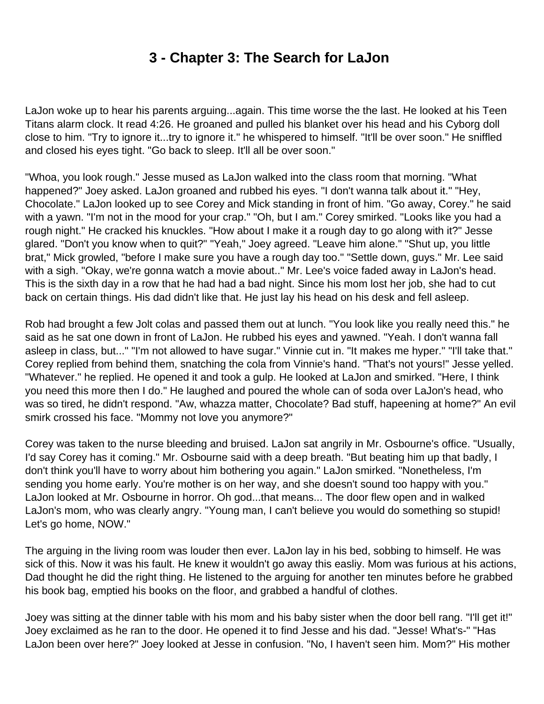## **3 - Chapter 3: The Search for LaJon**

<span id="page-5-0"></span>LaJon woke up to hear his parents arguing...again. This time worse the the last. He looked at his Teen Titans alarm clock. It read 4:26. He groaned and pulled his blanket over his head and his Cyborg doll close to him. "Try to ignore it...try to ignore it." he whispered to himself. "It'll be over soon." He sniffled and closed his eyes tight. "Go back to sleep. It'll all be over soon."

"Whoa, you look rough." Jesse mused as LaJon walked into the class room that morning. "What happened?" Joey asked. LaJon groaned and rubbed his eyes. "I don't wanna talk about it." "Hey, Chocolate." LaJon looked up to see Corey and Mick standing in front of him. "Go away, Corey." he said with a yawn. "I'm not in the mood for your crap." "Oh, but I am." Corey smirked. "Looks like you had a rough night." He cracked his knuckles. "How about I make it a rough day to go along with it?" Jesse glared. "Don't you know when to quit?" "Yeah," Joey agreed. "Leave him alone." "Shut up, you little brat," Mick growled, "before I make sure you have a rough day too." "Settle down, guys." Mr. Lee said with a sigh. "Okay, we're gonna watch a movie about.." Mr. Lee's voice faded away in LaJon's head. This is the sixth day in a row that he had had a bad night. Since his mom lost her job, she had to cut back on certain things. His dad didn't like that. He just lay his head on his desk and fell asleep.

Rob had brought a few Jolt colas and passed them out at lunch. "You look like you really need this." he said as he sat one down in front of LaJon. He rubbed his eyes and yawned. "Yeah. I don't wanna fall asleep in class, but..." "I'm not allowed to have sugar." Vinnie cut in. "It makes me hyper." "I'll take that." Corey replied from behind them, snatching the cola from Vinnie's hand. "That's not yours!" Jesse yelled. "Whatever." he replied. He opened it and took a gulp. He looked at LaJon and smirked. "Here, I think you need this more then I do." He laughed and poured the whole can of soda over LaJon's head, who was so tired, he didn't respond. "Aw, whazza matter, Chocolate? Bad stuff, hapeening at home?" An evil smirk crossed his face. "Mommy not love you anymore?"

Corey was taken to the nurse bleeding and bruised. LaJon sat angrily in Mr. Osbourne's office. "Usually, I'd say Corey has it coming." Mr. Osbourne said with a deep breath. "But beating him up that badly, I don't think you'll have to worry about him bothering you again." LaJon smirked. "Nonetheless, I'm sending you home early. You're mother is on her way, and she doesn't sound too happy with you." LaJon looked at Mr. Osbourne in horror. Oh god...that means... The door flew open and in walked LaJon's mom, who was clearly angry. "Young man, I can't believe you would do something so stupid! Let's go home, NOW."

The arguing in the living room was louder then ever. LaJon lay in his bed, sobbing to himself. He was sick of this. Now it was his fault. He knew it wouldn't go away this easliy. Mom was furious at his actions, Dad thought he did the right thing. He listened to the arguing for another ten minutes before he grabbed his book bag, emptied his books on the floor, and grabbed a handful of clothes.

Joey was sitting at the dinner table with his mom and his baby sister when the door bell rang. "I'll get it!" Joey exclaimed as he ran to the door. He opened it to find Jesse and his dad. "Jesse! What's-" "Has LaJon been over here?" Joey looked at Jesse in confusion. "No, I haven't seen him. Mom?" His mother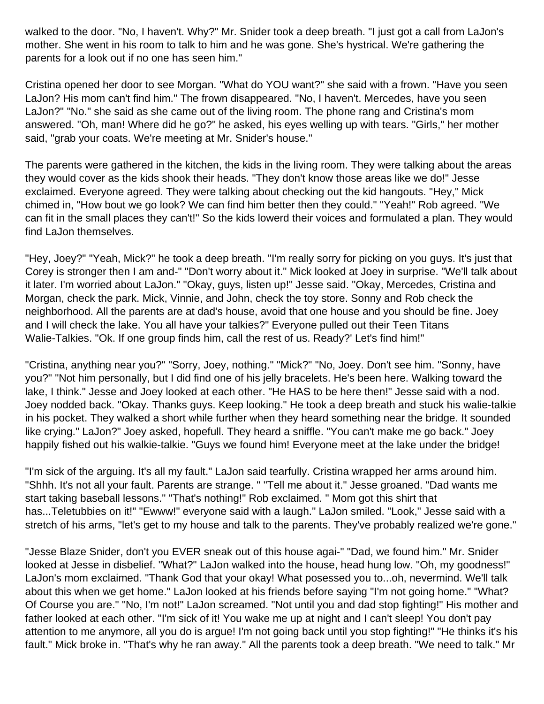walked to the door. "No, I haven't. Why?" Mr. Snider took a deep breath. "I just got a call from LaJon's mother. She went in his room to talk to him and he was gone. She's hystrical. We're gathering the parents for a look out if no one has seen him."

Cristina opened her door to see Morgan. "What do YOU want?" she said with a frown. "Have you seen LaJon? His mom can't find him." The frown disappeared. "No, I haven't. Mercedes, have you seen LaJon?" "No." she said as she came out of the living room. The phone rang and Cristina's mom answered. "Oh, man! Where did he go?" he asked, his eyes welling up with tears. "Girls," her mother said, "grab your coats. We're meeting at Mr. Snider's house."

The parents were gathered in the kitchen, the kids in the living room. They were talking about the areas they would cover as the kids shook their heads. "They don't know those areas like we do!" Jesse exclaimed. Everyone agreed. They were talking about checking out the kid hangouts. "Hey," Mick chimed in, "How bout we go look? We can find him better then they could." "Yeah!" Rob agreed. "We can fit in the small places they can't!" So the kids lowerd their voices and formulated a plan. They would find LaJon themselves.

"Hey, Joey?" "Yeah, Mick?" he took a deep breath. "I'm really sorry for picking on you guys. It's just that Corey is stronger then I am and-" "Don't worry about it." Mick looked at Joey in surprise. "We'll talk about it later. I'm worried about LaJon." "Okay, guys, listen up!" Jesse said. "Okay, Mercedes, Cristina and Morgan, check the park. Mick, Vinnie, and John, check the toy store. Sonny and Rob check the neighborhood. All the parents are at dad's house, avoid that one house and you should be fine. Joey and I will check the lake. You all have your talkies?" Everyone pulled out their Teen Titans Walie-Talkies. "Ok. If one group finds him, call the rest of us. Ready?' Let's find him!"

"Cristina, anything near you?" "Sorry, Joey, nothing." "Mick?" "No, Joey. Don't see him. "Sonny, have you?" "Not him personally, but I did find one of his jelly bracelets. He's been here. Walking toward the lake, I think." Jesse and Joey looked at each other. "He HAS to be here then!" Jesse said with a nod. Joey nodded back. "Okay. Thanks guys. Keep looking." He took a deep breath and stuck his walie-talkie in his pocket. They walked a short while further when they heard something near the bridge. It sounded like crying." LaJon?" Joey asked, hopefull. They heard a sniffle. "You can't make me go back." Joey happily fished out his walkie-talkie. "Guys we found him! Everyone meet at the lake under the bridge!

"I'm sick of the arguing. It's all my fault." LaJon said tearfully. Cristina wrapped her arms around him. "Shhh. It's not all your fault. Parents are strange. " "Tell me about it." Jesse groaned. "Dad wants me start taking baseball lessons." "That's nothing!" Rob exclaimed. " Mom got this shirt that has...Teletubbies on it!" "Ewww!" everyone said with a laugh." LaJon smiled. "Look," Jesse said with a stretch of his arms, "let's get to my house and talk to the parents. They've probably realized we're gone."

"Jesse Blaze Snider, don't you EVER sneak out of this house agai-" "Dad, we found him." Mr. Snider looked at Jesse in disbelief. "What?" LaJon walked into the house, head hung low. "Oh, my goodness!" LaJon's mom exclaimed. "Thank God that your okay! What posessed you to...oh, nevermind. We'll talk about this when we get home." LaJon looked at his friends before saying "I'm not going home." "What? Of Course you are." "No, I'm not!" LaJon screamed. "Not until you and dad stop fighting!" His mother and father looked at each other. "I'm sick of it! You wake me up at night and I can't sleep! You don't pay attention to me anymore, all you do is argue! I'm not going back until you stop fighting!" "He thinks it's his fault." Mick broke in. "That's why he ran away." All the parents took a deep breath. "We need to talk." Mr